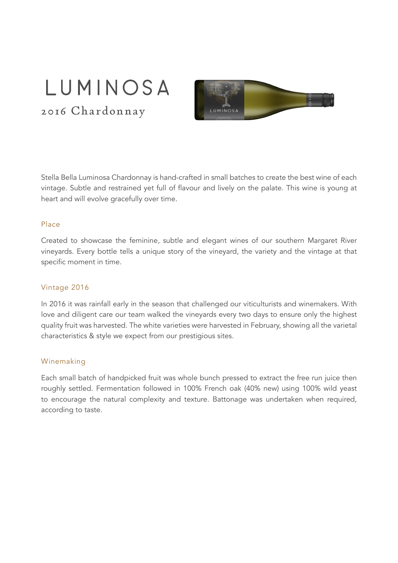# LUMINOSA

2016 Chardonnay



Stella Bella Luminosa Chardonnay is hand-crafted in small batches to create the best wine of each vintage. Subtle and restrained yet full of flavour and lively on the palate. This wine is young at heart and will evolve gracefully over time.

#### Place

Created to showcase the feminine, subtle and elegant wines of our southern Margaret River vineyards. Every bottle tells a unique story of the vineyard, the variety and the vintage at that specific moment in time.

#### Vintage 2016

In 2016 it was rainfall early in the season that challenged our viticulturists and winemakers. With love and diligent care our team walked the vineyards every two days to ensure only the highest quality fruit was harvested. The white varieties were harvested in February, showing all the varietal characteristics & style we expect from our prestigious sites.

#### Winemaking

Each small batch of handpicked fruit was whole bunch pressed to extract the free run juice then roughly settled. Fermentation followed in 100% French oak (40% new) using 100% wild yeast to encourage the natural complexity and texture. Battonage was undertaken when required, according to taste.